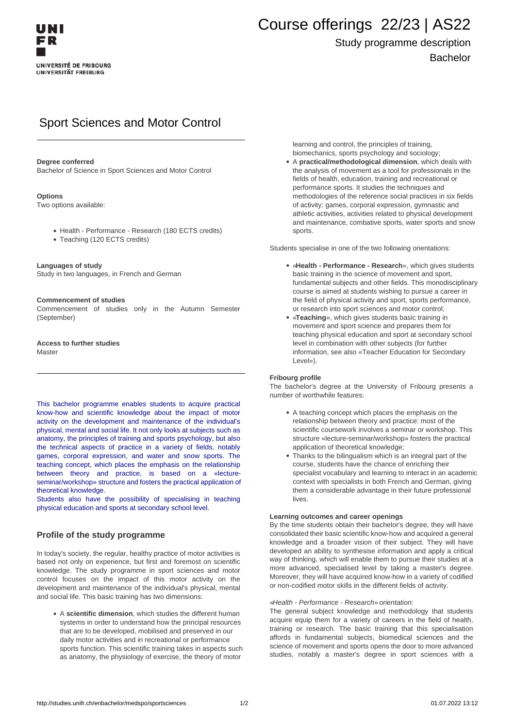# Course offerings 22/23 | AS22

## Study programme description Bachelor

# Sport Sciences and Motor Control

#### **Degree conferred**

Bachelor of Science in Sport Sciences and Motor Control

#### **Options**

Two options available:

- Health Performance Research (180 ECTS credits)
- Teaching (120 ECTS credits)

#### **Languages of study**

Study in two languages, in French and German

#### **Commencement of studies**

Commencement of studies only in the Autumn Semester (September)

**Access to further studies Master** 

This bachelor programme enables students to acquire practical know-how and scientific knowledge about the impact of motor activity on the development and maintenance of the individual's physical, mental and social life. It not only looks at subjects such as anatomy, the principles of training and sports psychology, but also the technical aspects of practice in a variety of fields, notably games, corporal expression, and water and snow sports. The teaching concept, which places the emphasis on the relationship between theory and practice, is based on a «lectureseminar/workshop» structure and fosters the practical application of theoretical knowledge.

Students also have the possibility of specialising in teaching physical education and sports at secondary school level.

### **Profile of the study programme**

In today's society, the regular, healthy practice of motor activities is based not only on experience, but first and foremost on scientific knowledge. The study programme in sport sciences and motor control focuses on the impact of this motor activity on the development and maintenance of the individual's physical, mental and social life. This basic training has two dimensions:

A **scientific dimension**, which studies the different human systems in order to understand how the principal resources that are to be developed, mobilised and preserved in our daily motor activities and in recreational or performance sports function. This scientific training takes in aspects such as anatomy, the physiology of exercise, the theory of motor

learning and control, the principles of training, biomechanics, sports psychology and sociology;

A **practical/methodological dimension**, which deals with the analysis of movement as a tool for professionals in the fields of health, education, training and recreational or performance sports. It studies the techniques and methodologies of the reference social practices in six fields of activity: games, corporal expression, gymnastic and athletic activities, activities related to physical development and maintenance, combative sports, water sports and snow sports.

Students specialise in one of the two following orientations:

- «**Health Performance Research**», which gives students basic training in the science of movement and sport, fundamental subjects and other fields. This monodisciplinary course is aimed at students wishing to pursue a career in the field of physical activity and sport, sports performance, or research into sport sciences and motor control;
- «**Teaching**», which gives students basic training in movement and sport science and prepares them for teaching physical education and sport at secondary school level in combination with other subjects (for further information, see also «Teacher Education for Secondary Level»).

#### **Fribourg profile**

The bachelor's degree at the University of Fribourg presents a number of worthwhile features:

- A teaching concept which places the emphasis on the relationship between theory and practice: most of the scientific coursework involves a seminar or workshop. This structure «lecture-seminar/workshop» fosters the practical application of theoretical knowledge;
- Thanks to the bilingualism which is an integral part of the course, students have the chance of enriching their specialist vocabulary and learning to interact in an academic context with specialists in both French and German, giving them a considerable advantage in their future professional lives.

#### **Learning outcomes and career openings**

By the time students obtain their bachelor's degree, they will have consolidated their basic scientific know-how and acquired a general knowledge and a broader vision of their subject. They will have developed an ability to synthesise information and apply a critical way of thinking, which will enable them to pursue their studies at a more advanced, specialised level by taking a master's degree. Moreover, they will have acquired know-how in a variety of codified or non-codified motor skills in the different fields of activity.

#### «Health - Performance - Research» orientation:

The general subject knowledge and methodology that students acquire equip them for a variety of careers in the field of health, training or research. The basic training that this specialisation affords in fundamental subjects, biomedical sciences and the science of movement and sports opens the door to more advanced studies, notably a master's degree in sport sciences with a